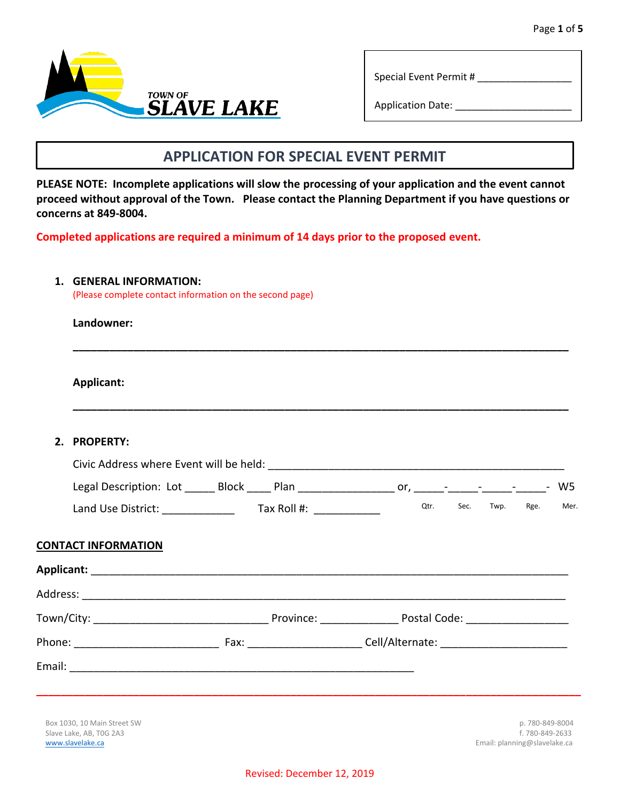



Special Event Permit # \_\_\_\_\_\_\_\_\_\_\_\_\_\_\_\_\_

Application Date: \_\_\_\_\_\_\_\_\_\_\_\_\_\_\_\_\_\_\_\_\_

# **APPLICATION FOR SPECIAL EVENT PERMIT**

**PLEASE NOTE: Incomplete applications will slow the processing of your application and the event cannot proceed without approval of the Town. Please contact the Planning Department if you have questions or concerns at 849-8004.** 

**Completed applications are required a minimum of 14 days prior to the proposed event.** 

#### **1. GENERAL INFORMATION:**

(Please complete contact information on the second page)

### **Landowner:**

**Applicant:** 

### **2. PROPERTY:**

| Civic Address where Event will be held: |                             |     |      |      |                                      |                          |      |
|-----------------------------------------|-----------------------------|-----|------|------|--------------------------------------|--------------------------|------|
| Legal Description: Lot                  | <b>Block</b><br><b>Plan</b> | or. |      |      | the company's state of the company's | $\overline{\phantom{a}}$ | W5.  |
| Land Use District:                      | Tax Roll #:                 |     | Otr. | Sec. | Twp.                                 | Rge.                     | Mer. |

**\_\_\_\_\_\_\_\_\_\_\_\_\_\_\_\_\_\_\_\_\_\_\_\_\_\_\_\_\_\_\_\_\_\_\_\_\_\_\_\_\_\_\_\_\_\_\_\_\_\_\_\_\_\_\_\_\_\_\_\_\_\_\_\_\_\_\_\_\_\_\_\_\_\_\_\_\_\_\_\_\_\_** 

**\_\_\_\_\_\_\_\_\_\_\_\_\_\_\_\_\_\_\_\_\_\_\_\_\_\_\_\_\_\_\_\_\_\_\_\_\_\_\_\_\_\_\_\_\_\_\_\_\_\_\_\_\_\_\_\_\_\_\_\_\_\_\_\_\_\_\_\_\_\_\_\_\_\_\_\_\_\_\_\_\_\_** 

### **CONTACT INFORMATION**

| Town/City: __________________________________ | Province: <u>_______</u>                                                                                                                                                                                                      | Postal Code: ____________________        |                 |
|-----------------------------------------------|-------------------------------------------------------------------------------------------------------------------------------------------------------------------------------------------------------------------------------|------------------------------------------|-----------------|
| Phone: <u>_______________</u>                 | Fax: Exercise and the second service of the series of the series of the series of the series of the series of the series of the series of the series of the series of the series of the series of the series of the series of | Cell/Alternate: ________________________ |                 |
|                                               |                                                                                                                                                                                                                               |                                          |                 |
|                                               |                                                                                                                                                                                                                               |                                          |                 |
| Box 1030, 10 Main Street SW                   |                                                                                                                                                                                                                               |                                          | p. 780-849-8004 |

Slave Lake, AB, TOG 2A3 f. 780-849-2633 [www.slavelake.ca](http://www.slavelake.ca/) **Email: planning@slavelake.ca** Email: planning@slavelake.ca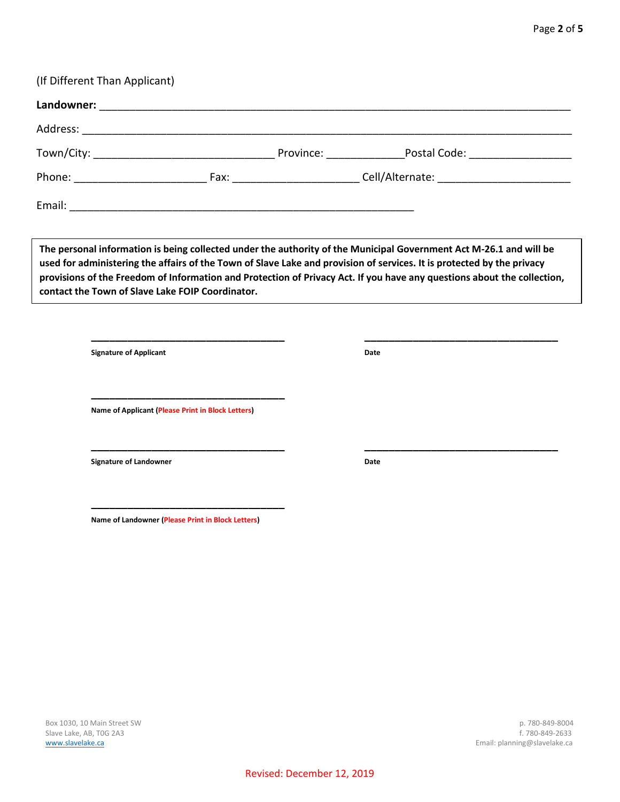| Address: |                                                   |                                                                                                                                                                                                                                                                                                                                                                         |
|----------|---------------------------------------------------|-------------------------------------------------------------------------------------------------------------------------------------------------------------------------------------------------------------------------------------------------------------------------------------------------------------------------------------------------------------------------|
|          |                                                   |                                                                                                                                                                                                                                                                                                                                                                         |
|          |                                                   | Phone: _________________________________Fax: ______________________________Cell/Alternate: _________________________                                                                                                                                                                                                                                                    |
|          |                                                   |                                                                                                                                                                                                                                                                                                                                                                         |
|          | contact the Town of Slave Lake FOIP Coordinator.  | The personal information is being collected under the authority of the Municipal Government Act M-26.1 and will be<br>used for administering the affairs of the Town of Slave Lake and provision of services. It is protected by the privacy<br>provisions of the Freedom of Information and Protection of Privacy Act. If you have any questions about the collection, |
|          | <b>Signature of Applicant</b>                     | Date                                                                                                                                                                                                                                                                                                                                                                    |
|          | Name of Applicant (Please Print in Block Letters) |                                                                                                                                                                                                                                                                                                                                                                         |
|          | <b>Signature of Landowner</b>                     | Date                                                                                                                                                                                                                                                                                                                                                                    |
|          | Name of Landowner (Please Print in Block Letters) |                                                                                                                                                                                                                                                                                                                                                                         |
|          |                                                   |                                                                                                                                                                                                                                                                                                                                                                         |
|          |                                                   |                                                                                                                                                                                                                                                                                                                                                                         |
|          |                                                   |                                                                                                                                                                                                                                                                                                                                                                         |

(If Different Than Applicant)

**Landowner:** \_\_\_\_\_\_\_\_\_\_\_\_\_\_\_\_\_\_\_\_\_\_\_\_\_\_\_\_\_\_\_\_\_\_\_\_\_\_\_\_\_\_\_\_\_\_\_\_\_\_\_\_\_\_\_\_\_\_\_\_\_\_\_\_\_\_\_\_\_\_\_\_\_\_\_\_\_\_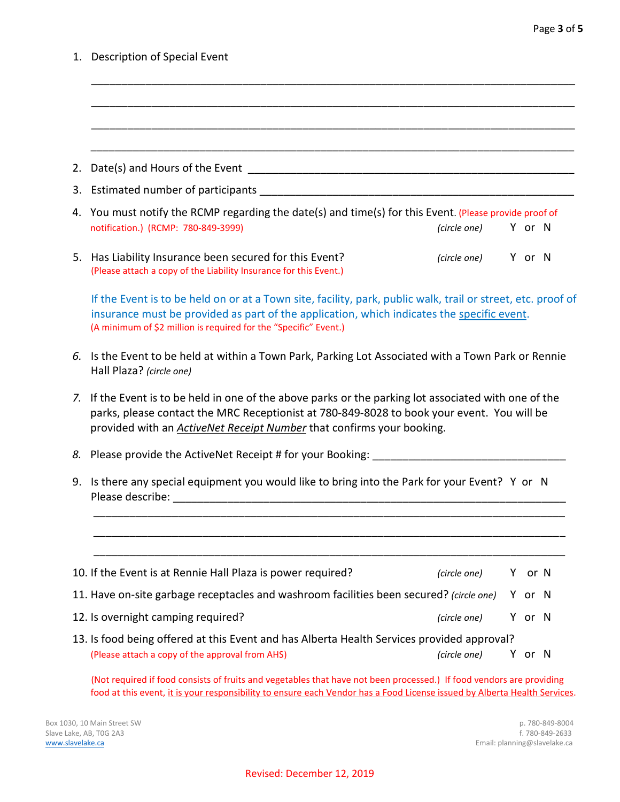1. Description of Special Event

| 2.       |                                                                                                                                                                                                                                                                                  |        |  |
|----------|----------------------------------------------------------------------------------------------------------------------------------------------------------------------------------------------------------------------------------------------------------------------------------|--------|--|
|          |                                                                                                                                                                                                                                                                                  |        |  |
|          | 4. You must notify the RCMP regarding the date(s) and time(s) for this Event. (Please provide proof of<br>notification.) (RCMP: 780-849-3999)<br>(circle one)                                                                                                                    | Y or N |  |
|          | 5. Has Liability Insurance been secured for this Event?<br>(circle one) Y or N<br>(Please attach a copy of the Liability Insurance for this Event.)                                                                                                                              |        |  |
|          | If the Event is to be held on or at a Town site, facility, park, public walk, trail or street, etc. proof of<br>insurance must be provided as part of the application, which indicates the specific event.<br>(A minimum of \$2 million is required for the "Specific" Event.)   |        |  |
|          |                                                                                                                                                                                                                                                                                  |        |  |
|          | Is the Event to be held at within a Town Park, Parking Lot Associated with a Town Park or Rennie<br>Hall Plaza? (circle one)                                                                                                                                                     |        |  |
|          | If the Event is to be held in one of the above parks or the parking lot associated with one of the<br>parks, please contact the MRC Receptionist at 780-849-8028 to book your event. You will be<br>provided with an <b>ActiveNet Receipt Number</b> that confirms your booking. |        |  |
|          | 8. Please provide the ActiveNet Receipt # for your Booking: ___________                                                                                                                                                                                                          |        |  |
| 6.<br>7. | 9. Is there any special equipment you would like to bring into the Park for your Event? Y or N                                                                                                                                                                                   |        |  |
|          |                                                                                                                                                                                                                                                                                  |        |  |
|          | 10. If the Event is at Rennie Hall Plaza is power required?<br>(circle one)                                                                                                                                                                                                      | Y or N |  |
|          | 11. Have on-site garbage receptacles and washroom facilities been secured? (circle one)                                                                                                                                                                                          | Y or N |  |
|          | 12. Is overnight camping required?<br>(circle one)                                                                                                                                                                                                                               | Y or N |  |
|          | 13. Is food being offered at this Event and has Alberta Health Services provided approval?<br>(Please attach a copy of the approval from AHS)                                                                                                                                    |        |  |

(Not required if food consists of fruits and vegetables that have not been processed.) If food vendors are providing food at this event, it is your responsibility to ensure each Vendor has a Food License issued by Alberta Health Services.

Box 1030, 10 Main Street SW p. 780-849-8004<br>
Slave Lake, AB, TOG 2A3 f . 780-849-2633 Slave Lake, AB, T0G 2A3<br>www.slavelake.ca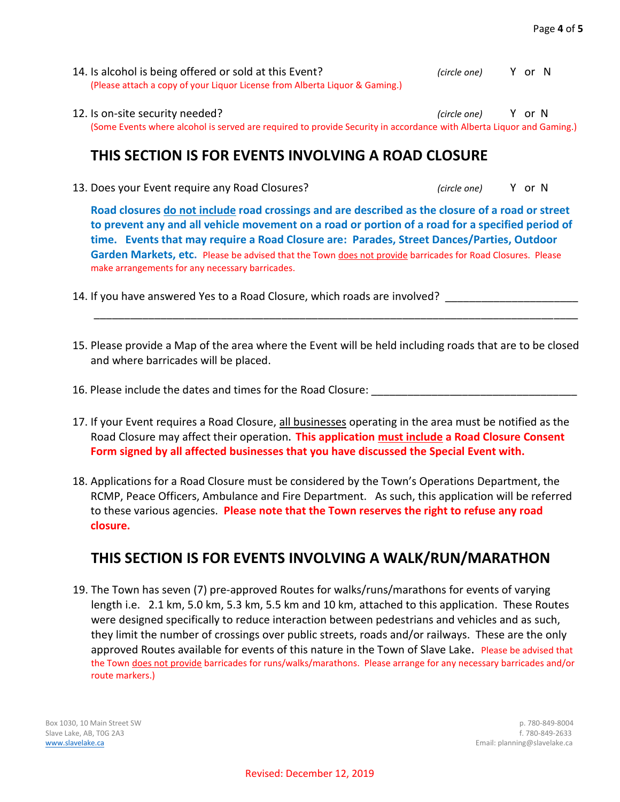- 14. Is alcohol is being offered or sold at this Event? *(circle one)* Y or N (Please attach a copy of your Liquor License from Alberta Liquor & Gaming.)
- 12. Is on-site security needed? *(circle one)* Y or N (Some Events where alcohol is served are required to provide Security in accordance with Alberta Liquor and Gaming.)

## **THIS SECTION IS FOR EVENTS INVOLVING A ROAD CLOSURE**

13. Does your Event require any Road Closures? *(circle one)* Y or N

**Road closures do not include road crossings and are described as the closure of a road or street to prevent any and all vehicle movement on a road or portion of a road for a specified period of time. Events that may require a Road Closure are: Parades, Street Dances/Parties, Outdoor**  Garden Markets, etc. Please be advised that the Town does not provide barricades for Road Closures. Please make arrangements for any necessary barricades.

- 14. If you have answered Yes to a Road Closure, which roads are involved?
- 15. Please provide a Map of the area where the Event will be held including roads that are to be closed and where barricades will be placed.

\_\_\_\_\_\_\_\_\_\_\_\_\_\_\_\_\_\_\_\_\_\_\_\_\_\_\_\_\_\_\_\_\_\_\_\_\_\_\_\_\_\_\_\_\_\_\_\_\_\_\_\_\_\_\_\_\_\_\_\_\_\_\_\_\_\_\_\_\_\_\_\_\_\_\_\_\_\_\_\_

- 16. Please include the dates and times for the Road Closure:
- 17. If your Event requires a Road Closure, all businesses operating in the area must be notified as the Road Closure may affect their operation**. This application must include a Road Closure Consent Form signed by all affected businesses that you have discussed the Special Event with.**
- 18. Applications for a Road Closure must be considered by the Town's Operations Department, the RCMP, Peace Officers, Ambulance and Fire Department. As such, this application will be referred to these various agencies. **Please note that the Town reserves the right to refuse any road closure.**

# **THIS SECTION IS FOR EVENTS INVOLVING A WALK/RUN/MARATHON**

19. The Town has seven (7) pre-approved Routes for walks/runs/marathons for events of varying length i.e. 2.1 km, 5.0 km, 5.3 km, 5.5 km and 10 km, attached to this application. These Routes were designed specifically to reduce interaction between pedestrians and vehicles and as such, they limit the number of crossings over public streets, roads and/or railways. These are the only approved Routes available for events of this nature in the Town of Slave Lake**.** Please be advised that the Town does not provide barricades for runs/walks/marathons. Please arrange for any necessary barricades and/or route markers.)